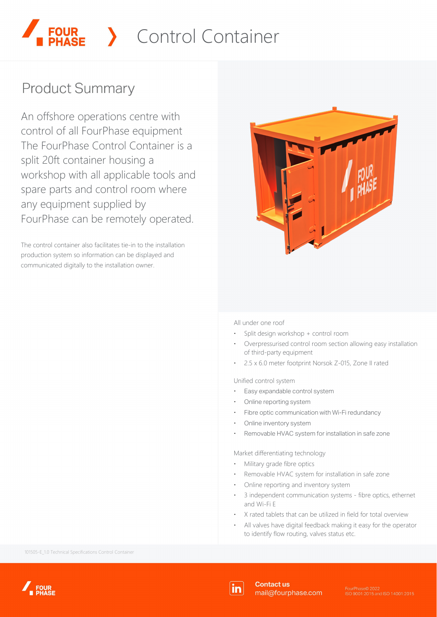## Control Container

## **Product Summary**

An offshore operations centre with control of all FourPhase equipment The FourPhase Control Container is a split 20ft container housing a workshop with all applicable tools and spare parts and control room where any equipment supplied by FourPhase can be remotely operated.

The control container also facilitates tie-in to the installation production system so information can be displayed and communicated digitally to the installation owner.



All under one roof

- ⋅ Split design workshop + control room
- Overpressurised control room section allowing easy installation of third-party equipment
- 2.5 x 6.0 meter footprint Norsok Z-015, Zone II rated

Unified control system

- Easy expandable control system
- Online reporting system
- Fibre optic communication with Wi-Fi redundancy
- Online inventory system
- Removable HVAC system for installation in safe zone

Market differentiating technology

- ⋅ Military grade fibre optics
- Removable HVAC system for installation in safe zone
- Online reporting and inventory system
- 3 independent communication systems fibre optics, ethernet and Wi-Fi E
- ⋅ X rated tablets that can be utilized in field for total overview
- All valves have digital feedback making it easy for the operator to identify flow routing, valves status etc.

101505-E\_1.0 Technical Specifications Control Container